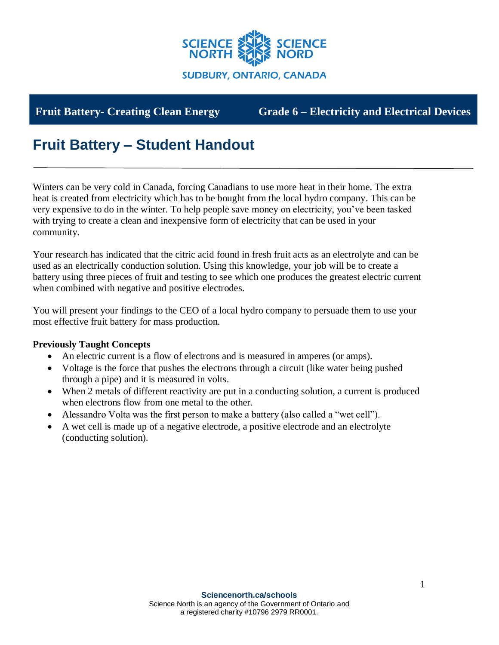

**Fruit Battery- Creating Clean Energy Grade 6 – Electricity and Electrical Devices**

# **Fruit Battery – Student Handout**

Winters can be very cold in Canada, forcing Canadians to use more heat in their home. The extra heat is created from electricity which has to be bought from the local hydro company. This can be very expensive to do in the winter. To help people save money on electricity, you've been tasked with trying to create a clean and inexpensive form of electricity that can be used in your community.

Your research has indicated that the citric acid found in fresh fruit acts as an electrolyte and can be used as an electrically conduction solution. Using this knowledge, your job will be to create a battery using three pieces of fruit and testing to see which one produces the greatest electric current when combined with negative and positive electrodes.

You will present your findings to the CEO of a local hydro company to persuade them to use your most effective fruit battery for mass production.

#### **Previously Taught Concepts**

- An electric current is a flow of electrons and is measured in amperes (or amps).
- Voltage is the force that pushes the electrons through a circuit (like water being pushed through a pipe) and it is measured in volts.
- When 2 metals of different reactivity are put in a conducting solution, a current is produced when electrons flow from one metal to the other.
- Alessandro Volta was the first person to make a battery (also called a "wet cell").
- A wet cell is made up of a negative electrode, a positive electrode and an electrolyte (conducting solution).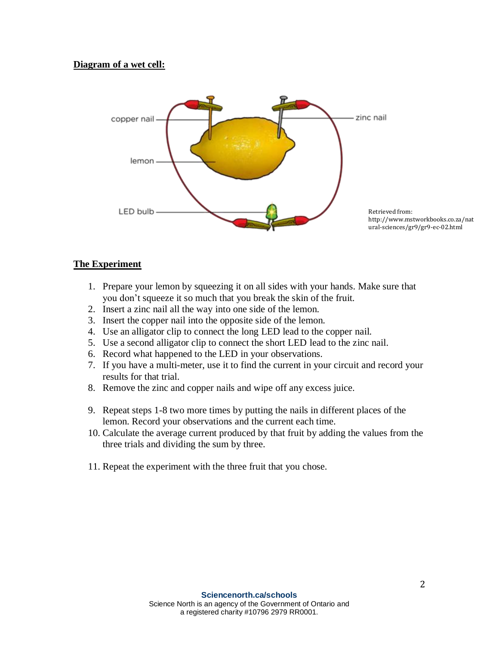#### **Diagram of a wet cell:**



#### **The Experiment**

- 1. Prepare your lemon by squeezing it on all sides with your hands. Make sure that you don't squeeze it so much that you break the skin of the fruit.
- 2. Insert a zinc nail all the way into one side of the lemon.
- 3. Insert the copper nail into the opposite side of the lemon.
- 4. Use an alligator clip to connect the long LED lead to the copper nail.
- 5. Use a second alligator clip to connect the short LED lead to the zinc nail.
- 6. Record what happened to the LED in your observations.
- 7. If you have a multi-meter, use it to find the current in your circuit and record your results for that trial.
- 8. Remove the zinc and copper nails and wipe off any excess juice.
- 9. Repeat steps 1-8 two more times by putting the nails in different places of the lemon. Record your observations and the current each time.
- 10. Calculate the average current produced by that fruit by adding the values from the three trials and dividing the sum by three.
- 11. Repeat the experiment with the three fruit that you chose.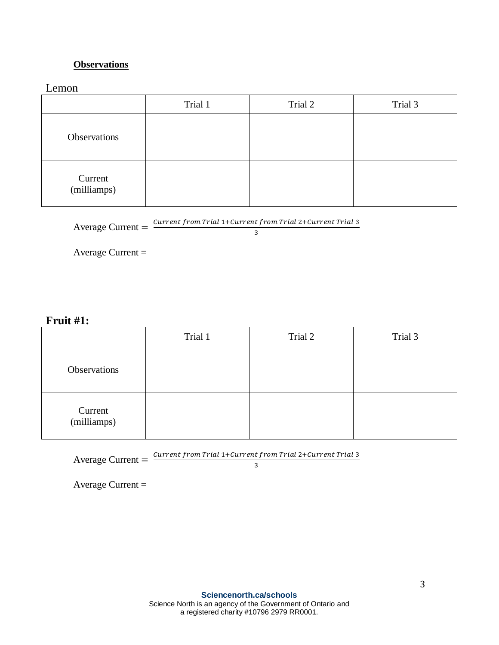# **Observations**

Lemon

|                        | Trial 1 | Trial 2 | Trial 3 |
|------------------------|---------|---------|---------|
| Observations           |         |         |         |
| Current<br>(milliamps) |         |         |         |

Average Current  $=$   $\frac{Current\ from\ trial\ 1 + Current\ from\ trial\ 2 + Current\ Trial\ 3}{2}$ 

3

Average Current =

# **Fruit #1:**

|                        | Trial 1 | Trial 2 | Trial 3 |
|------------------------|---------|---------|---------|
| Observations           |         |         |         |
| Current<br>(milliamps) |         |         |         |

Average Current  $=$   $\frac{Current\ from\ trial\ 1 + Current\ from\ trial\ 2 + Current\ Trial\ 3}{2}$ 

3

Average Current =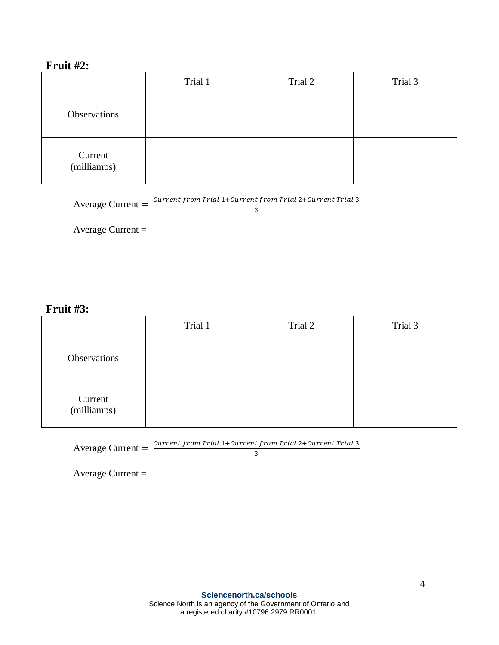# **Fruit #2:**

|                        | Trial 1 | Trial 2 | Trial 3 |
|------------------------|---------|---------|---------|
| Observations           |         |         |         |
| Current<br>(milliamps) |         |         |         |

3

Average Current  $=$   $\frac{Current\ from\ trial\ 1 + Current\ from\ trial\ 2 + Current\ Trial\ 3}{2}$ 

Average Current =

## **Fruit #3:**

|                        | Trial 1 | Trial 2 | Trial 3 |
|------------------------|---------|---------|---------|
| Observations           |         |         |         |
| Current<br>(milliamps) |         |         |         |

Average Current  $=$   $\frac{Current\ from\ trial\ 1 + Current\ from\ trial\ 2 + Current\ Trial\ 3}{2}$ 

3

Average Current =